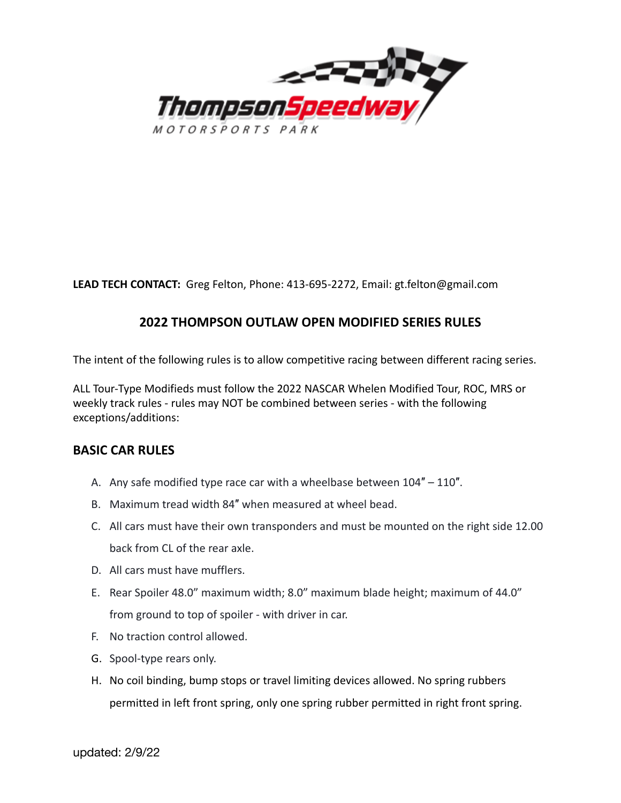

**LEAD TECH CONTACT:** Greg Felton, Phone: 413-695-2272, Email: gt.felton@gmail.com

# **2022 THOMPSON OUTLAW OPEN MODIFIED SERIES RULES**

The intent of the following rules is to allow competitive racing between different racing series.

ALL Tour-Type Modifieds must follow the 2022 NASCAR Whelen Modified Tour, ROC, MRS or weekly track rules - rules may NOT be combined between series - with the following exceptions/additions:

# **BASIC CAR RULES**

- A. Any safe modified type race car with a wheelbase between  $104" 110"$ .
- B. Maximum tread width 84″ when measured at wheel bead.
- C. All cars must have their own transponders and must be mounted on the right side 12.00 back from CL of the rear axle.
- D. All cars must have mufflers.
- E. Rear Spoiler 48.0" maximum width; 8.0" maximum blade height; maximum of 44.0" from ground to top of spoiler - with driver in car.
- F. No traction control allowed.
- G. Spool-type rears only.
- H. No coil binding, bump stops or travel limiting devices allowed. No spring rubbers permitted in left front spring, only one spring rubber permitted in right front spring.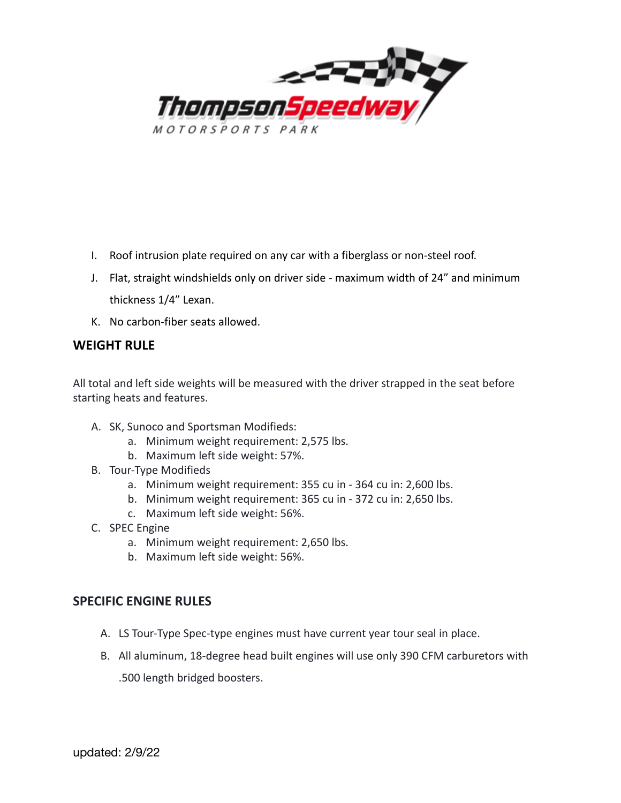

- I. Roof intrusion plate required on any car with a fiberglass or non-steel roof.
- J. Flat, straight windshields only on driver side maximum width of 24" and minimum thickness 1/4" Lexan.
- K. No carbon-fiber seats allowed.

# **WEIGHT RULE**

All total and left side weights will be measured with the driver strapped in the seat before starting heats and features.

- A. SK, Sunoco and Sportsman Modifieds:
	- a. Minimum weight requirement: 2,575 lbs.
	- b. Maximum left side weight: 57%.
- B. Tour-Type Modifieds
	- a. Minimum weight requirement: 355 cu in 364 cu in: 2,600 lbs.
	- b. Minimum weight requirement: 365 cu in 372 cu in: 2,650 lbs.
	- c. Maximum left side weight: 56%.
- C. SPEC Engine
	- a. Minimum weight requirement: 2,650 lbs.
	- b. Maximum left side weight: 56%.

### **SPECIFIC ENGINE RULES**

- A. LS Tour-Type Spec-type engines must have current year tour seal in place.
- B. All aluminum, 18-degree head built engines will use only 390 CFM carburetors with .500 length bridged boosters.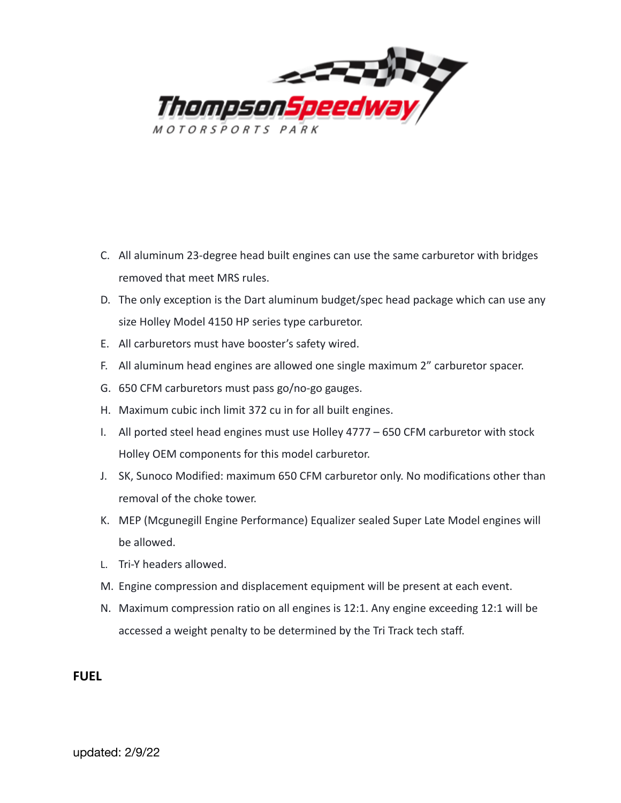

- C. All aluminum 23-degree head built engines can use the same carburetor with bridges removed that meet MRS rules.
- D. The only exception is the Dart aluminum budget/spec head package which can use any size Holley Model 4150 HP series type carburetor.
- E. All carburetors must have booster's safety wired.
- F. All aluminum head engines are allowed one single maximum 2" carburetor spacer.
- G. 650 CFM carburetors must pass go/no-go gauges.
- H. Maximum cubic inch limit 372 cu in for all built engines.
- I. All ported steel head engines must use Holley 4777 650 CFM carburetor with stock Holley OEM components for this model carburetor.
- J. SK, Sunoco Modified: maximum 650 CFM carburetor only. No modifications other than removal of the choke tower.
- K. MEP (Mcgunegill Engine Performance) Equalizer sealed Super Late Model engines will be allowed.
- L. Tri-Y headers allowed.
- M. Engine compression and displacement equipment will be present at each event.
- N. Maximum compression ratio on all engines is 12:1. Any engine exceeding 12:1 will be accessed a weight penalty to be determined by the Tri Track tech staff.

### **FUEL**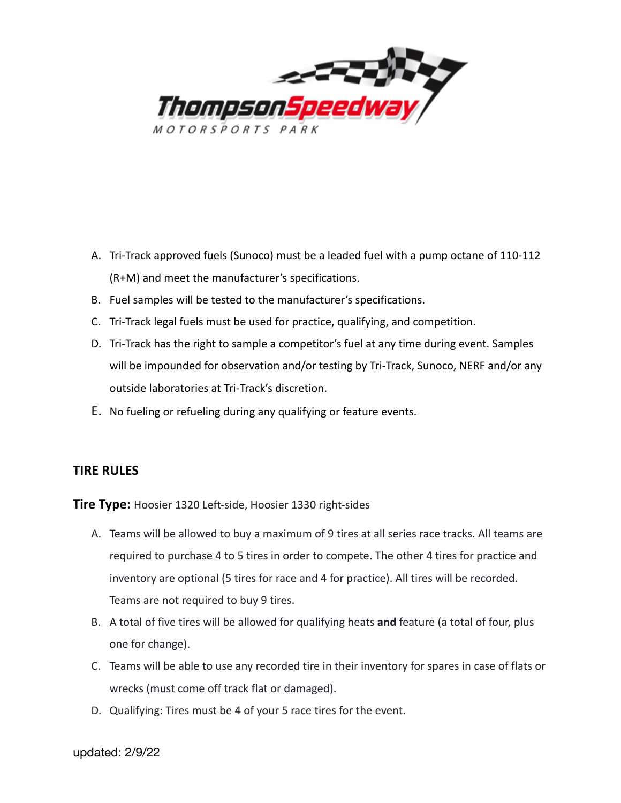

- A. Tri-Track approved fuels (Sunoco) must be a leaded fuel with a pump octane of 110-112 (R+M) and meet the manufacturer's specifications.
- B. Fuel samples will be tested to the manufacturer's specifications.
- C. Tri-Track legal fuels must be used for practice, qualifying, and competition.
- D. Tri-Track has the right to sample a competitor's fuel at any time during event. Samples will be impounded for observation and/or testing by Tri-Track, Sunoco, NERF and/or any outside laboratories at Tri-Track's discretion.
- E. No fueling or refueling during any qualifying or feature events.

### **TIRE RULES**

**Tire Type:** Hoosier 1320 Left-side, Hoosier 1330 right-sides

- A. Teams will be allowed to buy a maximum of 9 tires at all series race tracks. All teams are required to purchase 4 to 5 tires in order to compete. The other 4 tires for practice and inventory are optional (5 tires for race and 4 for practice). All tires will be recorded. Teams are not required to buy 9 tires.
- B. A total of five tires will be allowed for qualifying heats **and** feature (a total of four, plus one for change).
- C. Teams will be able to use any recorded tire in their inventory for spares in case of flats or wrecks (must come off track flat or damaged).
- D. Qualifying: Tires must be 4 of your 5 race tires for the event.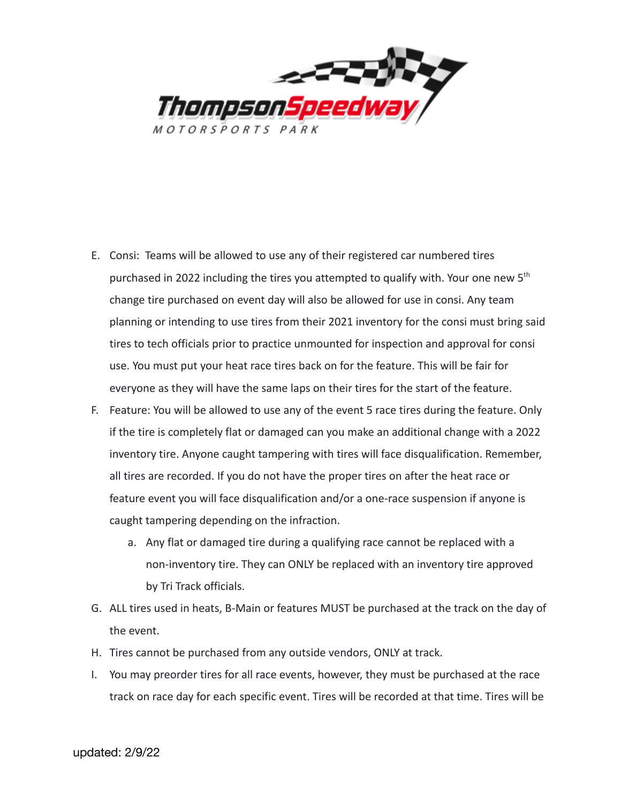

- E. Consi: Teams will be allowed to use any of their registered car numbered tires purchased in 2022 including the tires you attempted to qualify with. Your one new  $5<sup>th</sup>$ change tire purchased on event day will also be allowed for use in consi. Any team planning or intending to use tires from their 2021 inventory for the consi must bring said tires to tech officials prior to practice unmounted for inspection and approval for consi use. You must put your heat race tires back on for the feature. This will be fair for everyone as they will have the same laps on their tires for the start of the feature.
- F. Feature: You will be allowed to use any of the event 5 race tires during the feature. Only if the tire is completely flat or damaged can you make an additional change with a 2022 inventory tire. Anyone caught tampering with tires will face disqualification. Remember, all tires are recorded. If you do not have the proper tires on after the heat race or feature event you will face disqualification and/or a one-race suspension if anyone is caught tampering depending on the infraction.
	- a. Any flat or damaged tire during a qualifying race cannot be replaced with a non-inventory tire. They can ONLY be replaced with an inventory tire approved by Tri Track officials.
- G. ALL tires used in heats, B-Main or features MUST be purchased at the track on the day of the event.
- H. Tires cannot be purchased from any outside vendors, ONLY at track.
- I. You may preorder tires for all race events, however, they must be purchased at the race track on race day for each specific event. Tires will be recorded at that time. Tires will be